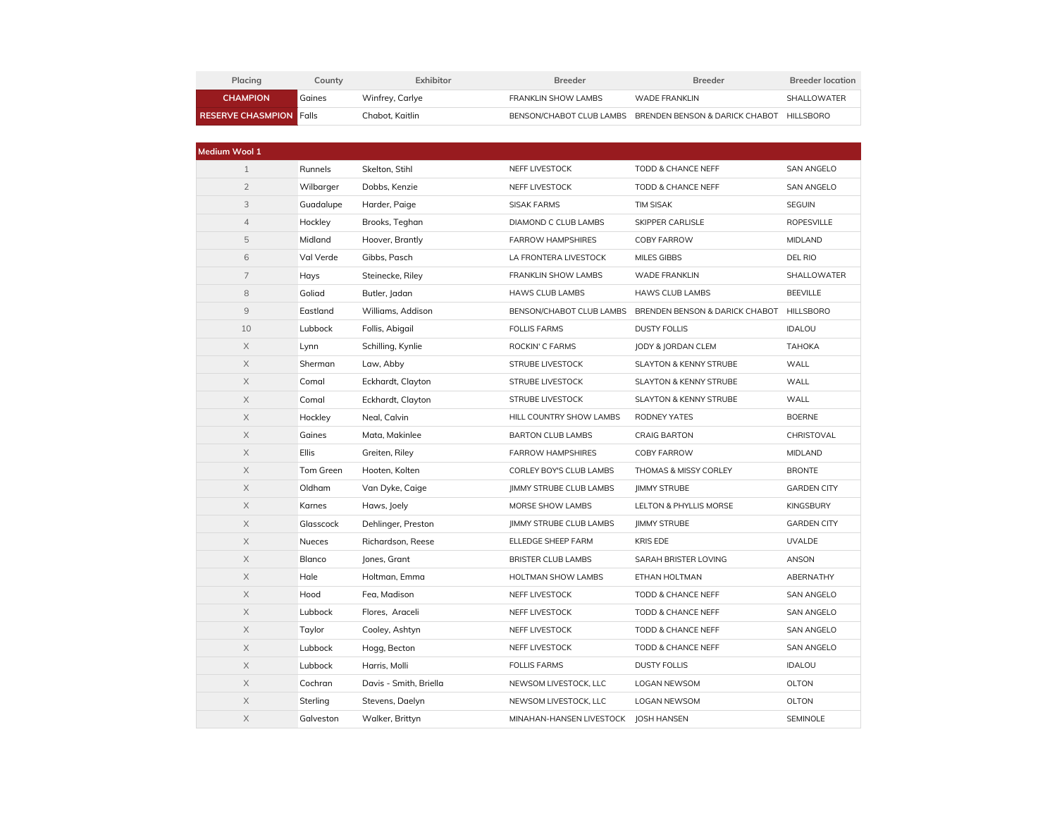| Placing                        | Countv | Exhibitor       | <b>Breeder</b>      | <b>Breeder</b>                                                    | <b>Breeder location</b> |
|--------------------------------|--------|-----------------|---------------------|-------------------------------------------------------------------|-------------------------|
| <b>CHAMPION</b>                | Gaines | Winfrey, Carlye | FRANKLIN SHOW LAMBS | WADE FRANKLIN                                                     | SHALLOWATER             |
| <b>RESERVE CHASMPION Folls</b> |        | Chabot. Kaitlin |                     | BENSON/CHABOT CLUB LAMBS BRENDEN BENSON & DARICK CHABOT HILLSBORO |                         |

| Medium Wool 1         |               |                        |                                       |                                   |                    |
|-----------------------|---------------|------------------------|---------------------------------------|-----------------------------------|--------------------|
| $\mathbf{1}$          | Runnels       | Skelton, Stihl         | NEFF LIVESTOCK                        | TODD & CHANCE NEFF                | SAN ANGELO         |
| $\overline{2}$        | Wilbarger     | Dobbs, Kenzie          | NEFF LIVESTOCK                        | TODD & CHANCE NEFF                | <b>SAN ANGELO</b>  |
| 3                     | Guadalupe     | Harder, Paige          | <b>SISAK FARMS</b>                    | <b>TIM SISAK</b>                  | SEGUIN             |
| $\overline{4}$        | Hockley       | Brooks, Teghan         | DIAMOND C CLUB LAMBS                  | SKIPPER CARLISLE                  | ROPESVILLE         |
| 5                     | Midland       | Hoover, Brantly        | <b>FARROW HAMPSHIRES</b>              | COBY FARROW                       | <b>MIDLAND</b>     |
| 6                     | Val Verde     | Gibbs, Pasch           | LA FRONTERA LIVESTOCK                 | MILES GIBBS                       | DEL RIO            |
| $\overline{7}$        | Hays          | Steinecke, Riley       | FRANKLIN SHOW LAMBS                   | <b>WADE FRANKLIN</b>              | SHALLOWATER        |
| 8                     | Goliad        | Butler, Jadan          | <b>HAWS CLUB LAMBS</b>                | <b>HAWS CLUB LAMBS</b>            | <b>BEEVILLE</b>    |
| 9                     | Eastland      | Williams, Addison      | BENSON/CHABOT CLUB LAMBS              | BRENDEN BENSON & DARICK CHABOT    | <b>HILLSBORO</b>   |
| 10                    | Lubbock       | Follis, Abigail        | <b>FOLLIS FARMS</b>                   | <b>DUSTY FOLLIS</b>               | <b>IDALOU</b>      |
| $\mathsf X$           | Lynn          | Schilling, Kynlie      | ROCKIN' C FARMS                       | JODY & JORDAN CLEM                | ТАНОКА             |
| X                     | Sherman       | Law, Abby              | <b>STRUBE LIVESTOCK</b>               | <b>SLAYTON &amp; KENNY STRUBE</b> | WALL               |
| X                     | Comal         | Eckhardt, Clayton      | STRUBE LIVESTOCK                      | SLAYTON & KENNY STRUBE            | WALL               |
| X                     | Comal         | Eckhardt, Clayton      | <b>STRUBE LIVESTOCK</b>               | <b>SLAYTON &amp; KENNY STRUBE</b> | WALL               |
| X                     | Hockley       | Neal, Calvin           | HILL COUNTRY SHOW LAMBS               | RODNEY YATES                      | <b>BOERNE</b>      |
| X                     | Gaines        | Mata, Makinlee         | <b>BARTON CLUB LAMBS</b>              | <b>CRAIG BARTON</b>               | CHRISTOVAL         |
| X                     | Ellis         | Greiten, Riley         | <b>FARROW HAMPSHIRES</b>              | <b>COBY FARROW</b>                | <b>MIDLAND</b>     |
| X                     | Tom Green     | Hooten, Kolten         | CORLEY BOY'S CLUB LAMBS               | <b>THOMAS &amp; MISSY CORLEY</b>  | <b>BRONTE</b>      |
| X                     | Oldham        | Van Dyke, Caige        | <b>JIMMY STRUBE CLUB LAMBS</b>        | <b>IIMMY STRUBE</b>               | <b>GARDEN CITY</b> |
| X                     | Karnes        | Haws, Joely            | MORSE SHOW LAMBS                      | LELTON & PHYLLIS MORSE            | <b>KINGSBURY</b>   |
| X                     | Glasscock     | Dehlinger, Preston     | <b>JIMMY STRUBE CLUB LAMBS</b>        | <b>IIMMY STRUBE</b>               | <b>GARDEN CITY</b> |
| X                     | <b>Nueces</b> | Richardson, Reese      | ELLEDGE SHEEP FARM                    | <b>KRIS EDE</b>                   | <b>UVALDE</b>      |
| X                     | Blanco        | Jones, Grant           | <b>BRISTER CLUB LAMBS</b>             | SARAH BRISTER LOVING              | ANSON              |
| X                     | Hale          | Holtman, Emma          | HOLTMAN SHOW LAMBS                    | ETHAN HOLTMAN                     | ABERNATHY          |
| X                     | Hood          | Fea, Madison           | NEFF LIVESTOCK                        | TODD & CHANCE NEFF                | <b>SAN ANGELO</b>  |
| $\mathsf X$           | Lubbock       | Flores, Araceli        | NEFF LIVESTOCK                        | TODD & CHANCE NEFF                | SAN ANGELO         |
| X                     | Taylor        | Cooley, Ashtyn         | NEFF LIVESTOCK                        | TODD & CHANCE NEFF                | <b>SAN ANGELO</b>  |
| $\mathsf X$           | Lubbock       | Hogg, Becton           | NEFF LIVESTOCK                        | TODD & CHANCE NEFF                | <b>SAN ANGELO</b>  |
| X                     | Lubbock       | Harris, Molli          | <b>FOLLIS FARMS</b>                   | <b>DUSTY FOLLIS</b>               | <b>IDALOU</b>      |
| X                     | Cochran       | Davis - Smith, Briella | NEWSOM LIVESTOCK, LLC                 | LOGAN NEWSOM                      | OLTON              |
| $\mathsf X$           | Sterling      | Stevens, Daelyn        | NEWSOM LIVESTOCK, LLC                 | LOGAN NEWSOM                      | OLTON              |
| $\boldsymbol{\times}$ | Galveston     | Walker, Brittyn        | MINAHAN-HANSEN LIVESTOCK   OSH HANSEN |                                   | <b>SEMINOLE</b>    |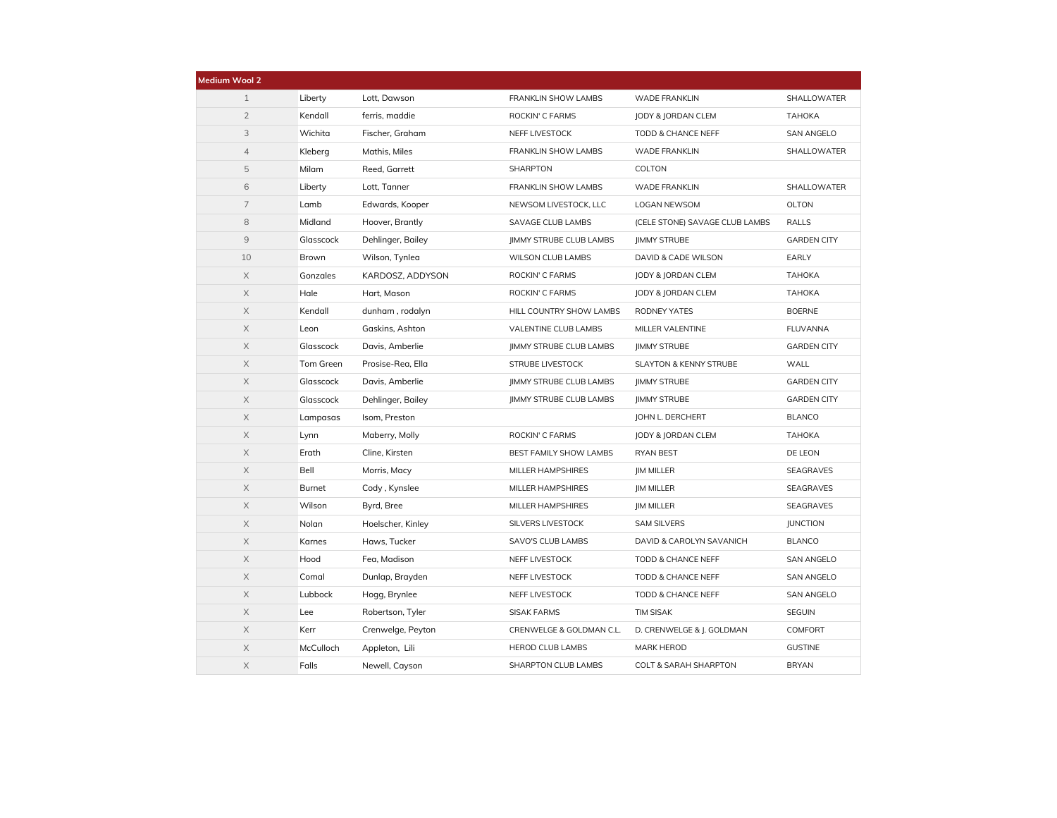| <b>Medium Wool 2</b> |           |                   |                                |                                   |                    |
|----------------------|-----------|-------------------|--------------------------------|-----------------------------------|--------------------|
| $\mathbf{1}$         | Liberty   | Lott, Dawson      | FRANKLIN SHOW LAMBS            | <b>WADE FRANKLIN</b>              | SHALLOWATER        |
| $\overline{2}$       | Kendall   | ferris, maddie    | ROCKIN' C FARMS                | JODY & JORDAN CLEM                | <b>TAHOKA</b>      |
| 3                    | Wichita   | Fischer, Graham   | NEFF LIVESTOCK                 | TODD & CHANCE NEFF                | <b>SAN ANGELO</b>  |
| $\overline{4}$       | Kleberg   | Mathis, Miles     | FRANKLIN SHOW LAMBS            | <b>WADE FRANKLIN</b>              | SHALLOWATER        |
| 5                    | Milam     | Reed, Garrett     | <b>SHARPTON</b>                | COLTON                            |                    |
| $\,$ 6               | Liberty   | Lott, Tanner      | FRANKLIN SHOW LAMBS            | <b>WADE FRANKLIN</b>              | SHALLOWATER        |
| $\overline{7}$       | Lamb      | Edwards, Kooper   | NEWSOM LIVESTOCK, LLC          | LOGAN NEWSOM                      | OLTON              |
| 8                    | Midland   | Hoover, Brantly   | SAVAGE CLUB LAMBS              | (CELE STONE) SAVAGE CLUB LAMBS    | RALLS              |
| $\mathcal{G}$        | Glasscock | Dehlinger, Bailey | JIMMY STRUBE CLUB LAMBS        | <b>JIMMY STRUBE</b>               | <b>GARDEN CITY</b> |
| 10                   | Brown     | Wilson, Tynlea    | <b>WILSON CLUB LAMBS</b>       | DAVID & CADE WILSON               | EARLY              |
| $\mathsf X$          | Gonzales  | KARDOSZ, ADDYSON  | ROCKIN' C FARMS                | JODY & JORDAN CLEM                | <b>TAHOKA</b>      |
| X                    | Hale      | Hart. Mason       | ROCKIN' C FARMS                | <b>JODY &amp; JORDAN CLEM</b>     | ТАНОКА             |
| $\times$             | Kendall   | dunham, rodalyn   | HILL COUNTRY SHOW LAMBS        | <b>RODNEY YATES</b>               | <b>BOERNE</b>      |
| X                    | Leon      | Gaskins, Ashton   | VALENTINE CLUB LAMBS           | MILLER VALENTINE                  | <b>FLUVANNA</b>    |
| X                    | Glasscock | Davis, Amberlie   | JIMMY STRUBE CLUB LAMBS        | <b>JIMMY STRUBE</b>               | <b>GARDEN CITY</b> |
| X                    | Tom Green | Prosise-Rea, Ella | <b>STRUBE LIVESTOCK</b>        | <b>SLAYTON &amp; KENNY STRUBE</b> | WALL               |
| X                    | Glasscock | Davis, Amberlie   | <b>JIMMY STRUBE CLUB LAMBS</b> | <b>IIMMY STRUBE</b>               | <b>GARDEN CITY</b> |
| $\mathsf X$          | Glasscock | Dehlinger, Bailey | JIMMY STRUBE CLUB LAMBS        | <b>IIMMY STRUBE</b>               | <b>GARDEN CITY</b> |
| $\mathsf X$          | Lampasas  | Isom, Preston     |                                | <b>JOHN L. DERCHERT</b>           | <b>BLANCO</b>      |
| X                    | Lynn      | Maberry, Molly    | ROCKIN' C FARMS                | JODY & JORDAN CLEM                | ТАНОКА             |
| X                    | Erath     | Cline, Kirsten    | BEST FAMILY SHOW LAMBS         | <b>RYAN BEST</b>                  | DE LEON            |
| X                    | Bell      | Morris, Macy      | MILLER HAMPSHIRES              | <b>JIM MILLER</b>                 | SEAGRAVES          |
| X                    | Burnet    | Cody, Kynslee     | MILLER HAMPSHIRES              | <b>JIM MILLER</b>                 | SEAGRAVES          |
| $\mathsf X$          | Wilson    | Byrd, Bree        | MILLER HAMPSHIRES              | <b>JIM MILLER</b>                 | SEAGRAVES          |
| $\mathsf X$          | Nolan     | Hoelscher, Kinley | SILVERS LIVESTOCK              | <b>SAM SILVERS</b>                | <b>JUNCTION</b>    |
| $\mathsf X$          | Karnes    | Haws, Tucker      | SAVO'S CLUB LAMBS              | DAVID & CAROLYN SAVANICH          | <b>BLANCO</b>      |
| X                    | Hood      | Fea, Madison      | NEFF LIVESTOCK                 | TODD & CHANCE NEFF                | <b>SAN ANGELO</b>  |
| X                    | Comal     | Dunlap, Brayden   | NEFF LIVESTOCK                 | TODD & CHANCE NEFF                | <b>SAN ANGELO</b>  |
| X                    | Lubbock   | Hogg, Brynlee     | NEFF LIVESTOCK                 | TODD & CHANCE NEFF                | <b>SAN ANGELO</b>  |
| X                    | Lee       | Robertson, Tyler  | <b>SISAK FARMS</b>             | <b>TIM SISAK</b>                  | SEGUIN             |
| X                    | Kerr      | Crenwelge, Peyton | CRENWELGE & GOLDMAN C.L.       | D. CRENWELGE & J. GOLDMAN         | COMFORT            |
| X                    | McCulloch | Appleton, Lili    | <b>HEROD CLUB LAMBS</b>        | <b>MARK HEROD</b>                 | <b>GUSTINE</b>     |
| $\times$             | Falls     | Newell, Cayson    | SHARPTON CLUB LAMBS            | <b>COLT &amp; SARAH SHARPTON</b>  | <b>BRYAN</b>       |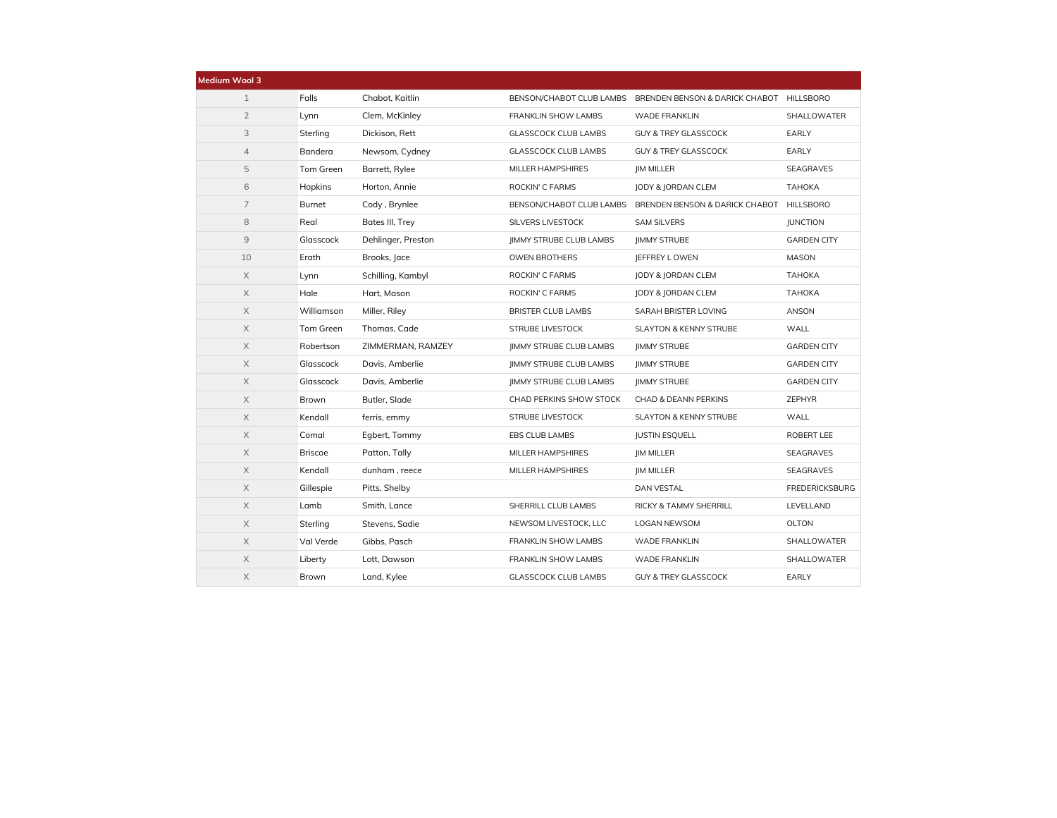| Medium Wool 3  |                |                    |                                |                                                         |                       |
|----------------|----------------|--------------------|--------------------------------|---------------------------------------------------------|-----------------------|
| $\mathbf{1}$   | Falls          | Chabot, Kaitlin    |                                | BENSON/CHABOT CLUB LAMBS BRENDEN BENSON & DARICK CHABOT | HILLSBORO             |
| $\overline{2}$ | Lynn           | Clem, McKinley     | FRANKLIN SHOW LAMBS            | <b>WADE FRANKLIN</b>                                    | SHALLOWATER           |
| 3              | Sterling       | Dickison, Rett     | <b>GLASSCOCK CLUB LAMBS</b>    | <b>GUY &amp; TREY GLASSCOCK</b>                         | EARLY                 |
| $\overline{4}$ | Bandera        | Newsom, Cydney     | <b>GLASSCOCK CLUB LAMBS</b>    | <b>GUY &amp; TREY GLASSCOCK</b>                         | EARLY                 |
| 5              | Tom Green      | Barrett, Rylee     | <b>MILLER HAMPSHIRES</b>       | <b>IM MILLER</b>                                        | SEAGRAVES             |
| 6              | Hopkins        | Horton, Annie      | ROCKIN' C FARMS                | <b>JODY &amp; JORDAN CLEM</b>                           | <b>TAHOKA</b>         |
| $\overline{7}$ | Burnet         | Cody, Brynlee      |                                | BENSON/CHABOT CLUB LAMBS BRENDEN BENSON & DARICK CHABOT | <b>HILLSBORO</b>      |
| 8              | Real           | Bates III, Trey    | SILVERS LIVESTOCK              | <b>SAM SILVERS</b>                                      | <b>JUNCTION</b>       |
| $\mathcal{G}$  | Glasscock      | Dehlinger, Preston | JIMMY STRUBE CLUB LAMBS        | <b>JIMMY STRUBE</b>                                     | <b>GARDEN CITY</b>    |
| 10             | Erath          | Brooks, Jace       | OWEN BROTHERS                  | JEFFREY LOWEN                                           | <b>MASON</b>          |
| $\mathsf X$    | Lynn           | Schilling, Kambyl  | ROCKIN' C FARMS                | <b>JODY &amp; JORDAN CLEM</b>                           | ТАНОКА                |
| X              | Hale           | Hart, Mason        | ROCKIN' C FARMS                | <b>JODY &amp; JORDAN CLEM</b>                           | <b>TAHOKA</b>         |
| $\mathsf X$    | Williamson     | Miller, Riley      | <b>BRISTER CLUB LAMBS</b>      | SARAH BRISTER LOVING                                    | ANSON                 |
| $\mathsf X$    | Tom Green      | Thomas, Cade       | <b>STRUBE LIVESTOCK</b>        | <b>SLAYTON &amp; KENNY STRUBE</b>                       | <b>WALL</b>           |
| $\times$       | Robertson      | ZIMMERMAN, RAMZEY  | <b>JIMMY STRUBE CLUB LAMBS</b> | <b>IIMMY STRUBE</b>                                     | <b>GARDEN CITY</b>    |
| $\times$       | Glasscock      | Davis, Amberlie    | <b>JIMMY STRUBE CLUB LAMBS</b> | <b>IIMMY STRUBE</b>                                     | <b>GARDEN CITY</b>    |
| $\times$       | Glasscock      | Davis, Amberlie    | JIMMY STRUBE CLUB LAMBS        | <b>IIMMY STRUBE</b>                                     | <b>GARDEN CITY</b>    |
| $\mathsf X$    | Brown          | Butler, Slade      | CHAD PERKINS SHOW STOCK        | CHAD & DEANN PERKINS                                    | ZEPHYR                |
| X              | Kendall        | ferris, emmy       | <b>STRUBE LIVESTOCK</b>        | <b>SLAYTON &amp; KENNY STRUBE</b>                       | WALL                  |
| $\times$       | Comal          | Egbert, Tommy      | EBS CLUB LAMBS                 | <b>JUSTIN ESQUELL</b>                                   | ROBERT LEE            |
| $\mathsf X$    | <b>Briscoe</b> | Patton, Tally      | MILLER HAMPSHIRES              | <b>JIM MILLER</b>                                       | <b>SEAGRAVES</b>      |
| $\times$       | Kendall        | dunham, reece      | MILLER HAMPSHIRES              | <b>JIM MILLER</b>                                       | SEAGRAVES             |
| $\times$       | Gillespie      | Pitts, Shelby      |                                | DAN VESTAL                                              | <b>FREDERICKSBURG</b> |
| $\times$       | Lamb           | Smith, Lance       | SHERRILL CLUB LAMBS            | RICKY & TAMMY SHERRILL                                  | LEVELLAND             |
| $\mathsf X$    | Sterling       | Stevens, Sadie     | NEWSOM LIVESTOCK, LLC          | LOGAN NEWSOM                                            | <b>OLTON</b>          |
| X              | Val Verde      | Gibbs, Pasch       | FRANKLIN SHOW LAMBS            | <b>WADE FRANKLIN</b>                                    | SHALLOWATER           |
| $\mathsf X$    | Liberty        | Lott, Dawson       | FRANKLIN SHOW LAMBS            | <b>WADE FRANKLIN</b>                                    | SHALLOWATER           |
| X              | Brown          | Land, Kylee        | <b>GLASSCOCK CLUB LAMBS</b>    | <b>GUY &amp; TREY GLASSCOCK</b>                         | EARLY                 |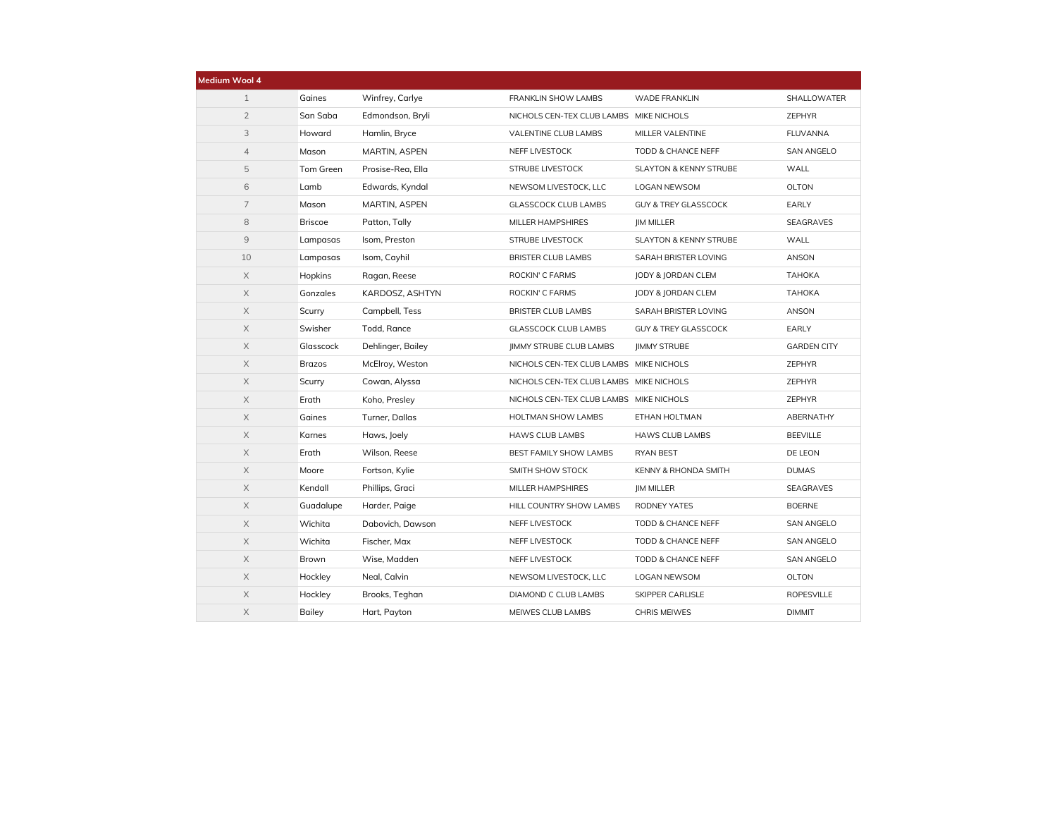| Medium Wool 4  |                |                   |                                         |                                   |                    |
|----------------|----------------|-------------------|-----------------------------------------|-----------------------------------|--------------------|
| $\mathbf{1}$   | Gaines         | Winfrey, Carlye   | FRANKLIN SHOW LAMBS                     | <b>WADE FRANKLIN</b>              | SHALLOWATER        |
| $\overline{2}$ | San Saba       | Edmondson, Bryli  | NICHOLS CEN-TEX CLUB LAMBS MIKE NICHOLS |                                   | ZEPHYR             |
| 3              | Howard         | Hamlin, Bryce     | VALENTINE CLUB LAMBS                    | MILLER VALENTINE                  | <b>FLUVANNA</b>    |
| $\overline{4}$ | Mason          | MARTIN, ASPEN     | NEFF LIVESTOCK                          | TODD & CHANCE NEFF                | <b>SAN ANGELO</b>  |
| 5              | Tom Green      | Prosise-Rea, Ella | <b>STRUBE LIVESTOCK</b>                 | <b>SLAYTON &amp; KENNY STRUBE</b> | WALL               |
| 6              | Lamb           | Edwards, Kyndal   | NEWSOM LIVESTOCK, LLC                   | LOGAN NEWSOM                      | OLTON              |
| $\overline{7}$ | Mason          | MARTIN, ASPEN     | <b>GLASSCOCK CLUB LAMBS</b>             | <b>GUY &amp; TREY GLASSCOCK</b>   | EARLY              |
| 8              | <b>Briscoe</b> | Patton, Tally     | MILLER HAMPSHIRES                       | <b>IM MILLER</b>                  | SEAGRAVES          |
| $\overline{9}$ | Lampasas       | Isom, Preston     | STRUBE LIVESTOCK                        | <b>SLAYTON &amp; KENNY STRUBE</b> | WALL               |
| 10             | Lampasas       | Isom, Cayhil      | <b>BRISTER CLUB LAMBS</b>               | SARAH BRISTER LOVING              | ANSON              |
| X              | Hopkins        | Ragan, Reese      | ROCKIN' C FARMS                         | <b>JODY &amp; JORDAN CLEM</b>     | ТАНОКА             |
| $\mathsf X$    | Gonzales       | KARDOSZ, ASHTYN   | ROCKIN' C FARMS                         | JODY & JORDAN CLEM                | <b>TAHOKA</b>      |
| $\mathsf X$    | Scurry         | Campbell, Tess    | <b>BRISTER CLUB LAMBS</b>               | SARAH BRISTER LOVING              | ANSON              |
| X              | Swisher        | Todd, Rance       | <b>GLASSCOCK CLUB LAMBS</b>             | <b>GUY &amp; TREY GLASSCOCK</b>   | EARLY              |
| X              | Glasscock      | Dehlinger, Bailey | <b>IIMMY STRUBE CLUB LAMBS</b>          | <b>IIMMY STRUBE</b>               | <b>GARDEN CITY</b> |
| X              | <b>Brazos</b>  | McElroy, Weston   | NICHOLS CEN-TEX CLUB LAMBS MIKE NICHOLS |                                   | ZEPHYR             |
| $\mathsf X$    | Scurry         | Cowan, Alyssa     | NICHOLS CEN-TEX CLUB LAMBS MIKE NICHOLS |                                   | ZEPHYR             |
| $\mathsf X$    | Erath          | Koho, Presley     | NICHOLS CEN-TEX CLUB LAMBS MIKE NICHOLS |                                   | ZEPHYR             |
| X              | Gaines         | Turner, Dallas    | HOLTMAN SHOW LAMBS                      | ETHAN HOLTMAN                     | ABERNATHY          |
| X              | Karnes         | Haws, Joely       | <b>HAWS CLUB LAMBS</b>                  | <b>HAWS CLUB LAMBS</b>            | <b>BEEVILLE</b>    |
| X              | Erath          | Wilson, Reese     | BEST FAMILY SHOW LAMBS                  | RYAN BEST                         | DE LEON            |
| $\mathsf X$    | Moore          | Fortson, Kylie    | SMITH SHOW STOCK                        | KENNY & RHONDA SMITH              | <b>DUMAS</b>       |
| X              | Kendall        | Phillips, Graci   | MILLER HAMPSHIRES                       | <b>JIM MILLER</b>                 | SEAGRAVES          |
| X              | Guadalupe      | Harder, Paige     | HILL COUNTRY SHOW LAMBS                 | RODNEY YATES                      | <b>BOERNE</b>      |
| X              | Wichita        | Dabovich, Dawson  | NEFF LIVESTOCK                          | TODD & CHANCE NEFF                | <b>SAN ANGELO</b>  |
| $\mathsf X$    | Wichita        | Fischer, Max      | NEFF LIVESTOCK                          | TODD & CHANCE NEFF                | <b>SAN ANGELO</b>  |
| $\mathsf X$    | Brown          | Wise, Madden      | NEFF LIVESTOCK                          | TODD & CHANCE NEFF                | <b>SAN ANGELO</b>  |
| X              | Hockley        | Neal, Calvin      | NEWSOM LIVESTOCK, LLC                   | LOGAN NEWSOM                      | OLTON              |
| X              | Hockley        | Brooks, Teghan    | DIAMOND C CLUB LAMBS                    | SKIPPER CARLISLE                  | <b>ROPESVILLE</b>  |
| X              | Bailey         | Hart, Payton      | MEIWES CLUB LAMBS                       | <b>CHRIS MEIWES</b>               | <b>DIMMIT</b>      |